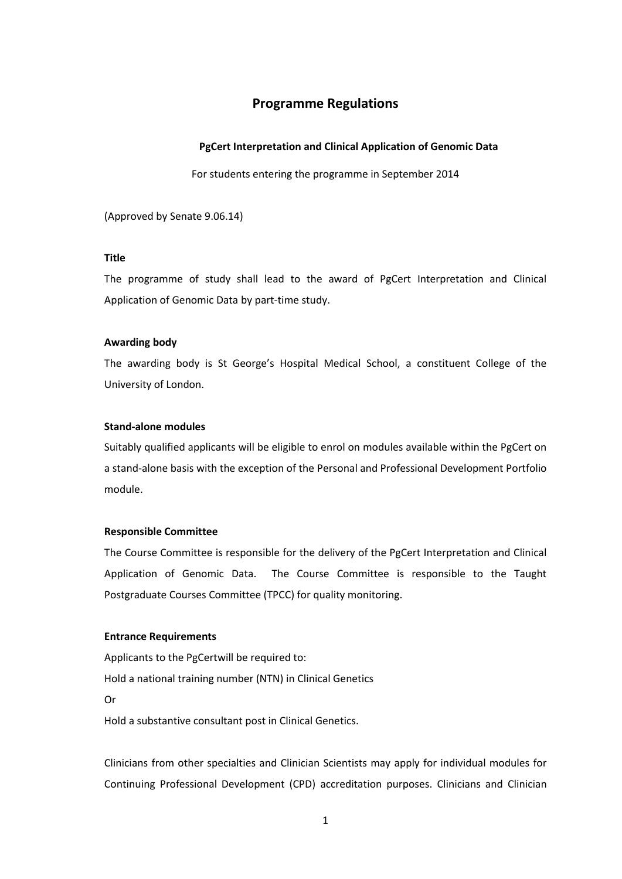# **Programme Regulations**

# **PgCert Interpretation and Clinical Application of Genomic Data**

For students entering the programme in September 2014

(Approved by Senate 9.06.14)

# **Title**

The programme of study shall lead to the award of PgCert Interpretation and Clinical Application of Genomic Data by part-time study.

# **Awarding body**

The awarding body is St George's Hospital Medical School, a constituent College of the University of London.

### **Stand-alone modules**

Suitably qualified applicants will be eligible to enrol on modules available within the PgCert on a stand-alone basis with the exception of the Personal and Professional Development Portfolio module.

### **Responsible Committee**

The Course Committee is responsible for the delivery of the PgCert Interpretation and Clinical Application of Genomic Data. The Course Committee is responsible to the Taught Postgraduate Courses Committee (TPCC) for quality monitoring.

### **Entrance Requirements**

Applicants to the PgCertwill be required to: Hold a national training number (NTN) in Clinical Genetics Or Hold a substantive consultant post in Clinical Genetics.

Clinicians from other specialties and Clinician Scientists may apply for individual modules for Continuing Professional Development (CPD) accreditation purposes. Clinicians and Clinician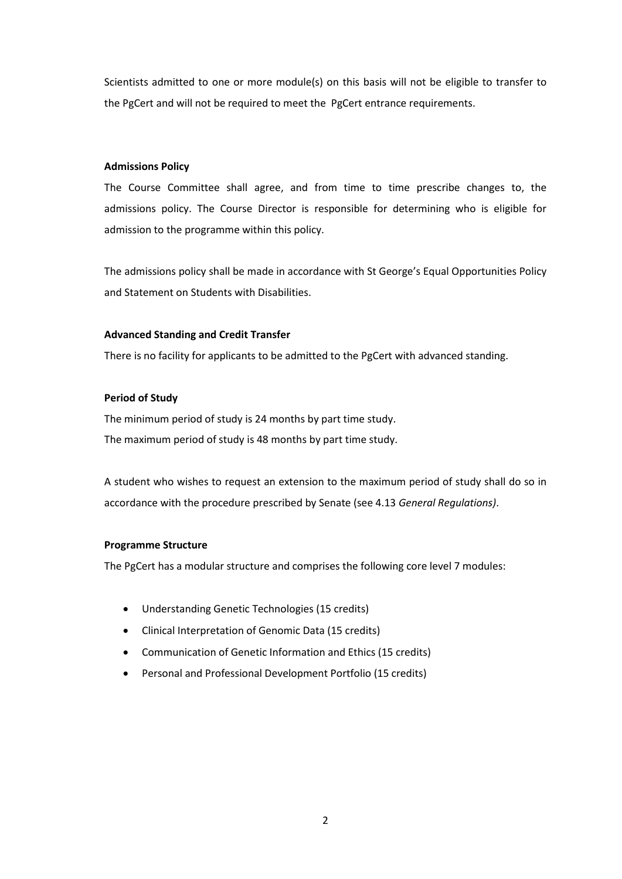Scientists admitted to one or more module(s) on this basis will not be eligible to transfer to the PgCert and will not be required to meet the PgCert entrance requirements.

# **Admissions Policy**

The Course Committee shall agree, and from time to time prescribe changes to, the admissions policy. The Course Director is responsible for determining who is eligible for admission to the programme within this policy.

The admissions policy shall be made in accordance with St George's Equal Opportunities Policy and Statement on Students with Disabilities.

# **Advanced Standing and Credit Transfer**

There is no facility for applicants to be admitted to the PgCert with advanced standing.

# **Period of Study**

The minimum period of study is 24 months by part time study. The maximum period of study is 48 months by part time study.

A student who wishes to request an extension to the maximum period of study shall do so in accordance with the procedure prescribed by Senate (see 4.13 *General Regulations)*.

### **Programme Structure**

The PgCert has a modular structure and comprises the following core level 7 modules:

- Understanding Genetic Technologies (15 credits)
- Clinical Interpretation of Genomic Data (15 credits)
- Communication of Genetic Information and Ethics (15 credits)
- Personal and Professional Development Portfolio (15 credits)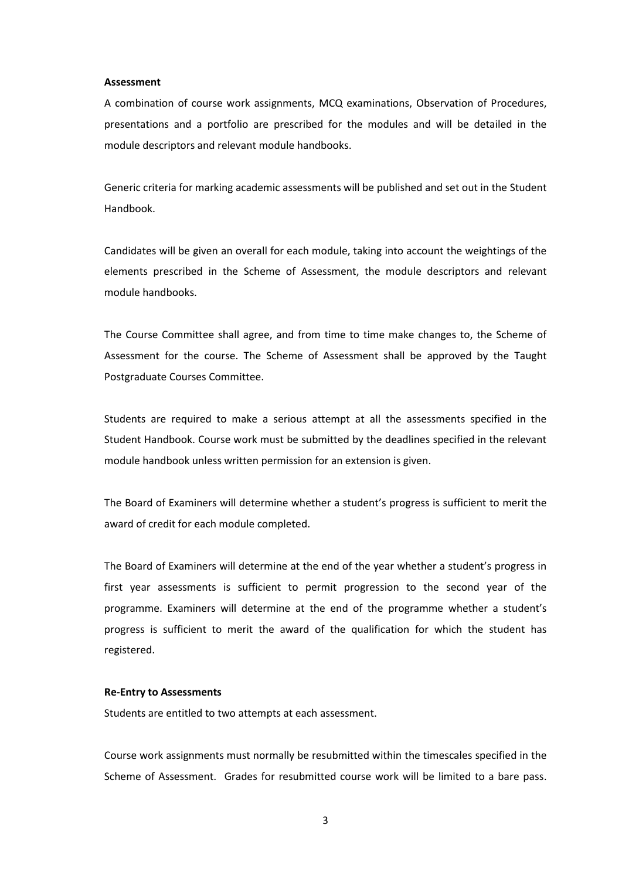#### **Assessment**

A combination of course work assignments, MCQ examinations, Observation of Procedures, presentations and a portfolio are prescribed for the modules and will be detailed in the module descriptors and relevant module handbooks.

Generic criteria for marking academic assessments will be published and set out in the Student Handbook.

Candidates will be given an overall for each module, taking into account the weightings of the elements prescribed in the Scheme of Assessment, the module descriptors and relevant module handbooks.

The Course Committee shall agree, and from time to time make changes to, the Scheme of Assessment for the course. The Scheme of Assessment shall be approved by the Taught Postgraduate Courses Committee.

Students are required to make a serious attempt at all the assessments specified in the Student Handbook. Course work must be submitted by the deadlines specified in the relevant module handbook unless written permission for an extension is given.

The Board of Examiners will determine whether a student's progress is sufficient to merit the award of credit for each module completed.

The Board of Examiners will determine at the end of the year whether a student's progress in first year assessments is sufficient to permit progression to the second year of the programme. Examiners will determine at the end of the programme whether a student's progress is sufficient to merit the award of the qualification for which the student has registered.

### **Re-Entry to Assessments**

Students are entitled to two attempts at each assessment.

Course work assignments must normally be resubmitted within the timescales specified in the Scheme of Assessment. Grades for resubmitted course work will be limited to a bare pass.